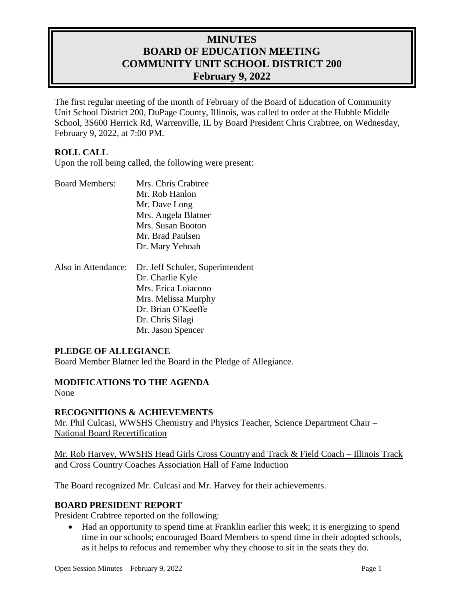# **MINUTES BOARD OF EDUCATION MEETING COMMUNITY UNIT SCHOOL DISTRICT 200 February 9, 2022**

The first regular meeting of the month of February of the Board of Education of Community Unit School District 200, DuPage County, Illinois, was called to order at the Hubble Middle School, 3S600 Herrick Rd, Warrenville, IL by Board President Chris Crabtree, on Wednesday, February 9, 2022, at 7:00 PM.

# **ROLL CALL**

Upon the roll being called, the following were present:

| <b>Board Members:</b> | Mrs. Chris Crabtree |
|-----------------------|---------------------|
|                       | Mr. Rob Hanlon      |
|                       | Mr. Dave Long       |
|                       | Mrs. Angela Blatner |
|                       | Mrs. Susan Booton   |
|                       | Mr. Brad Paulsen    |
|                       | Dr. Mary Yeboah     |
|                       |                     |

| Also in Attendance: Dr. Jeff Schuler, Superintendent |
|------------------------------------------------------|
| Dr. Charlie Kyle                                     |
| Mrs. Erica Loiacono                                  |
| Mrs. Melissa Murphy                                  |
| Dr. Brian O'Keeffe                                   |
| Dr. Chris Silagi                                     |
| Mr. Jason Spencer                                    |

#### **PLEDGE OF ALLEGIANCE**

Board Member Blatner led the Board in the Pledge of Allegiance.

# **MODIFICATIONS TO THE AGENDA**

None

# **RECOGNITIONS & ACHIEVEMENTS**

Mr. Phil Culcasi, WWSHS Chemistry and Physics Teacher, Science Department Chair – National Board Recertification

Mr. Rob Harvey, WWSHS Head Girls Cross Country and Track & Field Coach – Illinois Track and Cross Country Coaches Association Hall of Fame Induction

The Board recognized Mr. Culcasi and Mr. Harvey for their achievements.

# **BOARD PRESIDENT REPORT**

President Crabtree reported on the following:

 Had an opportunity to spend time at Franklin earlier this week; it is energizing to spend time in our schools; encouraged Board Members to spend time in their adopted schools, as it helps to refocus and remember why they choose to sit in the seats they do.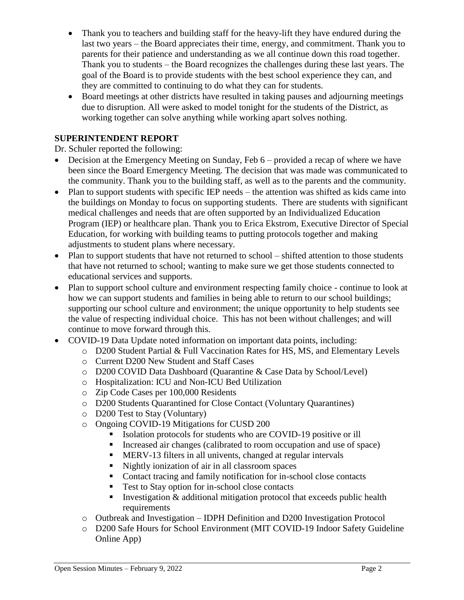- Thank you to teachers and building staff for the heavy-lift they have endured during the last two years – the Board appreciates their time, energy, and commitment. Thank you to parents for their patience and understanding as we all continue down this road together. Thank you to students – the Board recognizes the challenges during these last years. The goal of the Board is to provide students with the best school experience they can, and they are committed to continuing to do what they can for students.
- Board meetings at other districts have resulted in taking pauses and adjourning meetings due to disruption. All were asked to model tonight for the students of the District, as working together can solve anything while working apart solves nothing.

# **SUPERINTENDENT REPORT**

Dr. Schuler reported the following:

- Decision at the Emergency Meeting on Sunday, Feb 6 provided a recap of where we have been since the Board Emergency Meeting. The decision that was made was communicated to the community. Thank you to the building staff, as well as to the parents and the community.
- Plan to support students with specific IEP needs the attention was shifted as kids came into the buildings on Monday to focus on supporting students. There are students with significant medical challenges and needs that are often supported by an Individualized Education Program (IEP) or healthcare plan. Thank you to Erica Ekstrom, Executive Director of Special Education, for working with building teams to putting protocols together and making adjustments to student plans where necessary.
- Plan to support students that have not returned to school shifted attention to those students that have not returned to school; wanting to make sure we get those students connected to educational services and supports.
- Plan to support school culture and environment respecting family choice continue to look at how we can support students and families in being able to return to our school buildings; supporting our school culture and environment; the unique opportunity to help students see the value of respecting individual choice. This has not been without challenges; and will continue to move forward through this.
- COVID-19 Data Update noted information on important data points, including:
	- o D200 Student Partial & Full Vaccination Rates for HS, MS, and Elementary Levels
	- o Current D200 New Student and Staff Cases
	- o D200 COVID Data Dashboard (Quarantine & Case Data by School/Level)
	- o Hospitalization: ICU and Non-ICU Bed Utilization
	- o Zip Code Cases per 100,000 Residents
	- o D200 Students Quarantined for Close Contact (Voluntary Quarantines)
	- o D200 Test to Stay (Voluntary)
	- o Ongoing COVID-19 Mitigations for CUSD 200
		- Isolation protocols for students who are COVID-19 positive or ill
		- Increased air changes (calibrated to room occupation and use of space)
		- MERV-13 filters in all univents, changed at regular intervals
		- Nightly ionization of air in all classroom spaces
		- Contact tracing and family notification for in-school close contacts
		- Test to Stay option for in-school close contacts
		- Investigation  $\&$  additional mitigation protocol that exceeds public health requirements
	- o Outbreak and Investigation IDPH Definition and D200 Investigation Protocol
	- o D200 Safe Hours for School Environment (MIT COVID-19 Indoor Safety Guideline Online App)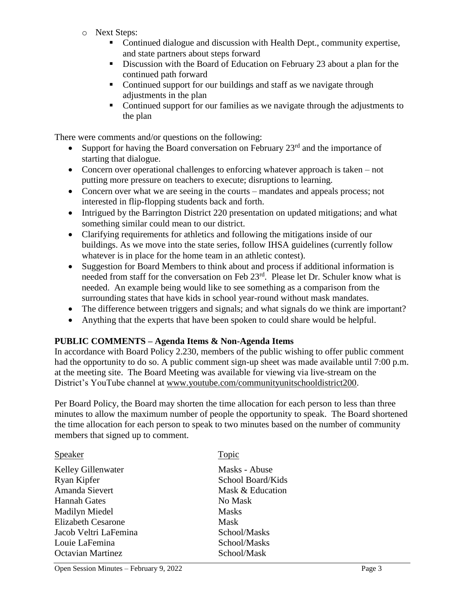- o Next Steps:
	- Continued dialogue and discussion with Health Dept., community expertise, and state partners about steps forward
	- Discussion with the Board of Education on February 23 about a plan for the continued path forward
	- Continued support for our buildings and staff as we navigate through adjustments in the plan
	- Continued support for our families as we navigate through the adjustments to the plan

There were comments and/or questions on the following:

- Support for having the Board conversation on February  $23<sup>rd</sup>$  and the importance of starting that dialogue.
- Concern over operational challenges to enforcing whatever approach is taken not putting more pressure on teachers to execute; disruptions to learning.
- Concern over what we are seeing in the courts mandates and appeals process; not interested in flip-flopping students back and forth.
- Intrigued by the Barrington District 220 presentation on updated mitigations; and what something similar could mean to our district.
- Clarifying requirements for athletics and following the mitigations inside of our buildings. As we move into the state series, follow IHSA guidelines (currently follow whatever is in place for the home team in an athletic contest).
- Suggestion for Board Members to think about and process if additional information is needed from staff for the conversation on Feb 23<sup>rd</sup>. Please let Dr. Schuler know what is needed. An example being would like to see something as a comparison from the surrounding states that have kids in school year-round without mask mandates.
- The difference between triggers and signals; and what signals do we think are important?
- Anything that the experts that have been spoken to could share would be helpful.

# **PUBLIC COMMENTS – Agenda Items & Non-Agenda Items**

In accordance with Board Policy 2.230, members of the public wishing to offer public comment had the opportunity to do so. A public comment sign-up sheet was made available until 7:00 p.m. at the meeting site. The Board Meeting was available for viewing via live-stream on the District's YouTube channel at [www.youtube.com/communityunitschooldistrict200.](http://www.youtube.com/communityunitschooldistrict200)

Per Board Policy, the Board may shorten the time allocation for each person to less than three minutes to allow the maximum number of people the opportunity to speak. The Board shortened the time allocation for each person to speak to two minutes based on the number of community members that signed up to comment.

| Speaker                   | Topic             |
|---------------------------|-------------------|
| <b>Kelley Gillenwater</b> | Masks - Abuse     |
| Ryan Kipfer               | School Board/Kids |
| Amanda Sievert            | Mask & Education  |
| <b>Hannah Gates</b>       | No Mask           |
| Madilyn Miedel            | <b>Masks</b>      |
| <b>Elizabeth Cesarone</b> | Mask              |
| Jacob Veltri LaFemina     | School/Masks      |
| Louie LaFemina            | School/Masks      |
| <b>Octavian Martinez</b>  | School/Mask       |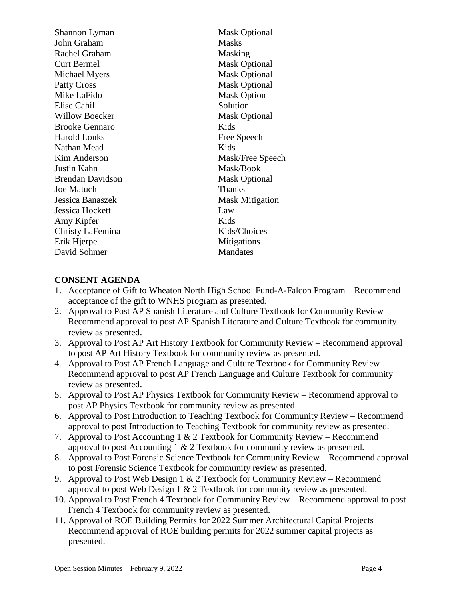| Shannon Lyman           | <b>Mask Optional</b>   |
|-------------------------|------------------------|
| John Graham             | <b>Masks</b>           |
| Rachel Graham           | Masking                |
| Curt Bermel             | <b>Mask Optional</b>   |
| Michael Myers           | <b>Mask Optional</b>   |
| <b>Patty Cross</b>      | <b>Mask Optional</b>   |
| Mike LaFido             | <b>Mask Option</b>     |
| Elise Cahill            | Solution               |
| <b>Willow Boecker</b>   | <b>Mask Optional</b>   |
| <b>Brooke Gennaro</b>   | Kids                   |
| Harold Lonks            | Free Speech            |
| Nathan Mead             | Kids                   |
| Kim Anderson            | Mask/Free Speech       |
| Justin Kahn             | Mask/Book              |
| <b>Brendan Davidson</b> | <b>Mask Optional</b>   |
| Joe Matuch              | <b>Thanks</b>          |
| Jessica Banaszek        | <b>Mask Mitigation</b> |
| Jessica Hockett         | Law                    |
| Amy Kipfer              | Kids                   |
| Christy LaFemina        | Kids/Choices           |
| Erik Hjerpe             | Mitigations            |
| David Sohmer            | <b>Mandates</b>        |
|                         |                        |

### **CONSENT AGENDA**

- 1. Acceptance of Gift to Wheaton North High School Fund-A-Falcon Program Recommend acceptance of the gift to WNHS program as presented.
- 2. Approval to Post AP Spanish Literature and Culture Textbook for Community Review Recommend approval to post AP Spanish Literature and Culture Textbook for community review as presented.
- 3. Approval to Post AP Art History Textbook for Community Review Recommend approval to post AP Art History Textbook for community review as presented.
- 4. Approval to Post AP French Language and Culture Textbook for Community Review Recommend approval to post AP French Language and Culture Textbook for community review as presented.
- 5. Approval to Post AP Physics Textbook for Community Review Recommend approval to post AP Physics Textbook for community review as presented.
- 6. Approval to Post Introduction to Teaching Textbook for Community Review Recommend approval to post Introduction to Teaching Textbook for community review as presented.
- 7. Approval to Post Accounting 1 & 2 Textbook for Community Review Recommend approval to post Accounting 1  $& 2$  Textbook for community review as presented.
- 8. Approval to Post Forensic Science Textbook for Community Review Recommend approval to post Forensic Science Textbook for community review as presented.
- 9. Approval to Post Web Design 1 & 2 Textbook for Community Review Recommend approval to post Web Design 1 & 2 Textbook for community review as presented.
- 10. Approval to Post French 4 Textbook for Community Review Recommend approval to post French 4 Textbook for community review as presented.
- 11. Approval of ROE Building Permits for 2022 Summer Architectural Capital Projects Recommend approval of ROE building permits for 2022 summer capital projects as presented.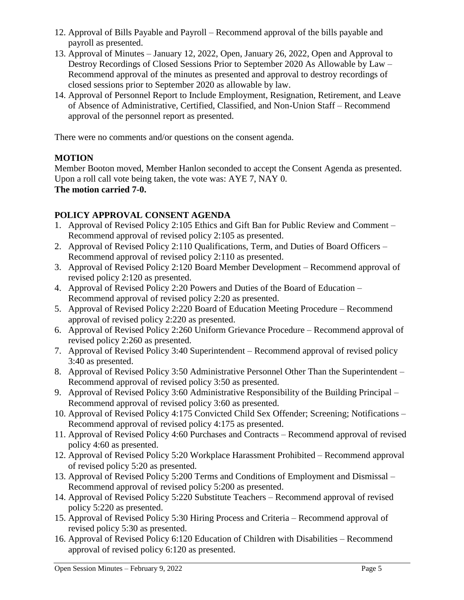- 12. Approval of Bills Payable and Payroll Recommend approval of the bills payable and payroll as presented.
- 13. Approval of Minutes January 12, 2022, Open, January 26, 2022, Open and Approval to Destroy Recordings of Closed Sessions Prior to September 2020 As Allowable by Law – Recommend approval of the minutes as presented and approval to destroy recordings of closed sessions prior to September 2020 as allowable by law.
- 14. Approval of Personnel Report to Include Employment, Resignation, Retirement, and Leave of Absence of Administrative, Certified, Classified, and Non-Union Staff – Recommend approval of the personnel report as presented.

There were no comments and/or questions on the consent agenda.

# **MOTION**

Member Booton moved, Member Hanlon seconded to accept the Consent Agenda as presented. Upon a roll call vote being taken, the vote was: AYE 7, NAY 0. **The motion carried 7-0.** 

# **POLICY APPROVAL CONSENT AGENDA**

- 1. Approval of Revised Policy 2:105 Ethics and Gift Ban for Public Review and Comment Recommend approval of revised policy 2:105 as presented.
- 2. Approval of Revised Policy 2:110 Qualifications, Term, and Duties of Board Officers Recommend approval of revised policy 2:110 as presented.
- 3. Approval of Revised Policy 2:120 Board Member Development Recommend approval of revised policy 2:120 as presented.
- 4. Approval of Revised Policy 2:20 Powers and Duties of the Board of Education Recommend approval of revised policy 2:20 as presented.
- 5. Approval of Revised Policy 2:220 Board of Education Meeting Procedure Recommend approval of revised policy 2:220 as presented.
- 6. Approval of Revised Policy 2:260 Uniform Grievance Procedure Recommend approval of revised policy 2:260 as presented.
- 7. Approval of Revised Policy 3:40 Superintendent Recommend approval of revised policy 3:40 as presented.
- 8. Approval of Revised Policy 3:50 Administrative Personnel Other Than the Superintendent Recommend approval of revised policy 3:50 as presented.
- 9. Approval of Revised Policy 3:60 Administrative Responsibility of the Building Principal Recommend approval of revised policy 3:60 as presented.
- 10. Approval of Revised Policy 4:175 Convicted Child Sex Offender; Screening; Notifications Recommend approval of revised policy 4:175 as presented.
- 11. Approval of Revised Policy 4:60 Purchases and Contracts Recommend approval of revised policy 4:60 as presented.
- 12. Approval of Revised Policy 5:20 Workplace Harassment Prohibited Recommend approval of revised policy 5:20 as presented.
- 13. Approval of Revised Policy 5:200 Terms and Conditions of Employment and Dismissal Recommend approval of revised policy 5:200 as presented.
- 14. Approval of Revised Policy 5:220 Substitute Teachers Recommend approval of revised policy 5:220 as presented.
- 15. Approval of Revised Policy 5:30 Hiring Process and Criteria Recommend approval of revised policy 5:30 as presented.
- 16. Approval of Revised Policy 6:120 Education of Children with Disabilities Recommend approval of revised policy 6:120 as presented.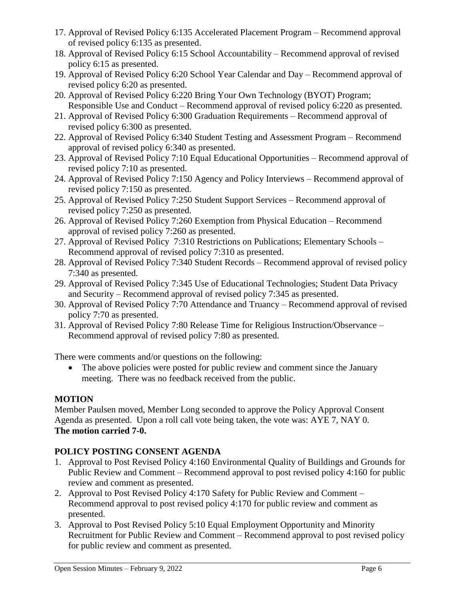- 17. Approval of Revised Policy 6:135 Accelerated Placement Program Recommend approval of revised policy 6:135 as presented.
- 18. Approval of Revised Policy 6:15 School Accountability Recommend approval of revised policy 6:15 as presented.
- 19. Approval of Revised Policy 6:20 School Year Calendar and Day Recommend approval of revised policy 6:20 as presented.
- 20. Approval of Revised Policy 6:220 Bring Your Own Technology (BYOT) Program; Responsible Use and Conduct – Recommend approval of revised policy 6:220 as presented.
- 21. Approval of Revised Policy 6:300 Graduation Requirements Recommend approval of revised policy 6:300 as presented.
- 22. Approval of Revised Policy 6:340 Student Testing and Assessment Program Recommend approval of revised policy 6:340 as presented.
- 23. Approval of Revised Policy 7:10 Equal Educational Opportunities Recommend approval of revised policy 7:10 as presented.
- 24. Approval of Revised Policy 7:150 Agency and Policy Interviews Recommend approval of revised policy 7:150 as presented.
- 25. Approval of Revised Policy 7:250 Student Support Services Recommend approval of revised policy 7:250 as presented.
- 26. Approval of Revised Policy 7:260 Exemption from Physical Education Recommend approval of revised policy 7:260 as presented.
- 27. Approval of Revised Policy 7:310 Restrictions on Publications; Elementary Schools Recommend approval of revised policy 7:310 as presented.
- 28. Approval of Revised Policy 7:340 Student Records Recommend approval of revised policy 7:340 as presented.
- 29. Approval of Revised Policy 7:345 Use of Educational Technologies; Student Data Privacy and Security – Recommend approval of revised policy 7:345 as presented.
- 30. Approval of Revised Policy 7:70 Attendance and Truancy Recommend approval of revised policy 7:70 as presented.
- 31. Approval of Revised Policy 7:80 Release Time for Religious Instruction/Observance Recommend approval of revised policy 7:80 as presented.

There were comments and/or questions on the following:

• The above policies were posted for public review and comment since the January meeting. There was no feedback received from the public.

# **MOTION**

Member Paulsen moved, Member Long seconded to approve the Policy Approval Consent Agenda as presented. Upon a roll call vote being taken, the vote was: AYE 7, NAY 0. **The motion carried 7-0.** 

# **POLICY POSTING CONSENT AGENDA**

- 1. Approval to Post Revised Policy 4:160 Environmental Quality of Buildings and Grounds for Public Review and Comment – Recommend approval to post revised policy 4:160 for public review and comment as presented.
- 2. Approval to Post Revised Policy 4:170 Safety for Public Review and Comment Recommend approval to post revised policy 4:170 for public review and comment as presented.
- 3. Approval to Post Revised Policy 5:10 Equal Employment Opportunity and Minority Recruitment for Public Review and Comment – Recommend approval to post revised policy for public review and comment as presented.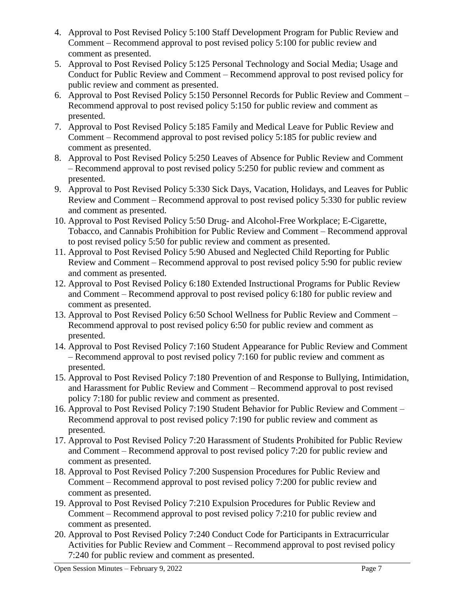- 4. Approval to Post Revised Policy 5:100 Staff Development Program for Public Review and Comment – Recommend approval to post revised policy 5:100 for public review and comment as presented.
- 5. Approval to Post Revised Policy 5:125 Personal Technology and Social Media; Usage and Conduct for Public Review and Comment – Recommend approval to post revised policy for public review and comment as presented.
- 6. Approval to Post Revised Policy 5:150 Personnel Records for Public Review and Comment Recommend approval to post revised policy 5:150 for public review and comment as presented.
- 7. Approval to Post Revised Policy 5:185 Family and Medical Leave for Public Review and Comment – Recommend approval to post revised policy 5:185 for public review and comment as presented.
- 8. Approval to Post Revised Policy 5:250 Leaves of Absence for Public Review and Comment – Recommend approval to post revised policy 5:250 for public review and comment as presented.
- 9. Approval to Post Revised Policy 5:330 Sick Days, Vacation, Holidays, and Leaves for Public Review and Comment – Recommend approval to post revised policy 5:330 for public review and comment as presented.
- 10. Approval to Post Revised Policy 5:50 Drug- and Alcohol-Free Workplace; E-Cigarette, Tobacco, and Cannabis Prohibition for Public Review and Comment – Recommend approval to post revised policy 5:50 for public review and comment as presented.
- 11. Approval to Post Revised Policy 5:90 Abused and Neglected Child Reporting for Public Review and Comment – Recommend approval to post revised policy 5:90 for public review and comment as presented.
- 12. Approval to Post Revised Policy 6:180 Extended Instructional Programs for Public Review and Comment – Recommend approval to post revised policy 6:180 for public review and comment as presented.
- 13. Approval to Post Revised Policy 6:50 School Wellness for Public Review and Comment Recommend approval to post revised policy 6:50 for public review and comment as presented.
- 14. Approval to Post Revised Policy 7:160 Student Appearance for Public Review and Comment – Recommend approval to post revised policy 7:160 for public review and comment as presented.
- 15. Approval to Post Revised Policy 7:180 Prevention of and Response to Bullying, Intimidation, and Harassment for Public Review and Comment – Recommend approval to post revised policy 7:180 for public review and comment as presented.
- 16. Approval to Post Revised Policy 7:190 Student Behavior for Public Review and Comment Recommend approval to post revised policy 7:190 for public review and comment as presented.
- 17. Approval to Post Revised Policy 7:20 Harassment of Students Prohibited for Public Review and Comment – Recommend approval to post revised policy 7:20 for public review and comment as presented.
- 18. Approval to Post Revised Policy 7:200 Suspension Procedures for Public Review and Comment – Recommend approval to post revised policy 7:200 for public review and comment as presented.
- 19. Approval to Post Revised Policy 7:210 Expulsion Procedures for Public Review and Comment – Recommend approval to post revised policy 7:210 for public review and comment as presented.
- 20. Approval to Post Revised Policy 7:240 Conduct Code for Participants in Extracurricular Activities for Public Review and Comment – Recommend approval to post revised policy 7:240 for public review and comment as presented.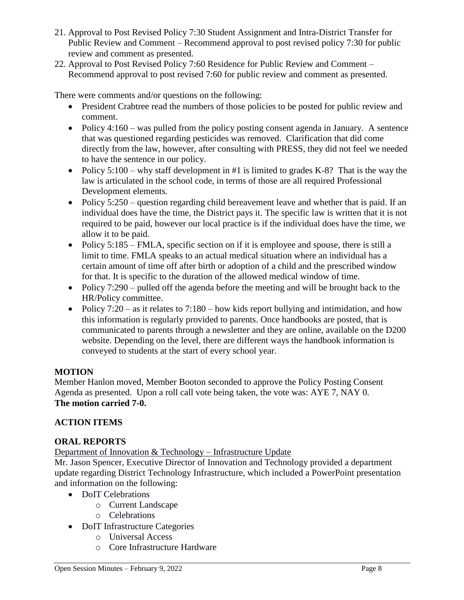- 21. Approval to Post Revised Policy 7:30 Student Assignment and Intra-District Transfer for Public Review and Comment – Recommend approval to post revised policy 7:30 for public review and comment as presented.
- 22. Approval to Post Revised Policy 7:60 Residence for Public Review and Comment Recommend approval to post revised 7:60 for public review and comment as presented.

There were comments and/or questions on the following:

- President Crabtree read the numbers of those policies to be posted for public review and comment.
- Policy  $4:160$  was pulled from the policy posting consent agenda in January. A sentence that was questioned regarding pesticides was removed. Clarification that did come directly from the law, however, after consulting with PRESS, they did not feel we needed to have the sentence in our policy.
- Policy  $5:100 -$  why staff development in #1 is limited to grades K-8? That is the way the law is articulated in the school code, in terms of those are all required Professional Development elements.
- Policy 5:250 question regarding child bereavement leave and whether that is paid. If an individual does have the time, the District pays it. The specific law is written that it is not required to be paid, however our local practice is if the individual does have the time, we allow it to be paid.
- Policy 5:185 FMLA, specific section on if it is employee and spouse, there is still a limit to time. FMLA speaks to an actual medical situation where an individual has a certain amount of time off after birth or adoption of a child and the prescribed window for that. It is specific to the duration of the allowed medical window of time.
- Policy  $7:290$  pulled off the agenda before the meeting and will be brought back to the HR/Policy committee.
- Policy  $7:20 as$  it relates to  $7:180 how$  kids report bullying and intimidation, and how this information is regularly provided to parents. Once handbooks are posted, that is communicated to parents through a newsletter and they are online, available on the D200 website. Depending on the level, there are different ways the handbook information is conveyed to students at the start of every school year.

# **MOTION**

Member Hanlon moved, Member Booton seconded to approve the Policy Posting Consent Agenda as presented. Upon a roll call vote being taken, the vote was: AYE 7, NAY 0. **The motion carried 7-0.** 

# **ACTION ITEMS**

# **ORAL REPORTS**

Department of Innovation & Technology – Infrastructure Update

Mr. Jason Spencer, Executive Director of Innovation and Technology provided a department update regarding District Technology Infrastructure, which included a PowerPoint presentation and information on the following:

- DoIT Celebrations
	- o Current Landscape
	- o Celebrations
- DoIT Infrastructure Categories
	- o Universal Access
	- o Core Infrastructure Hardware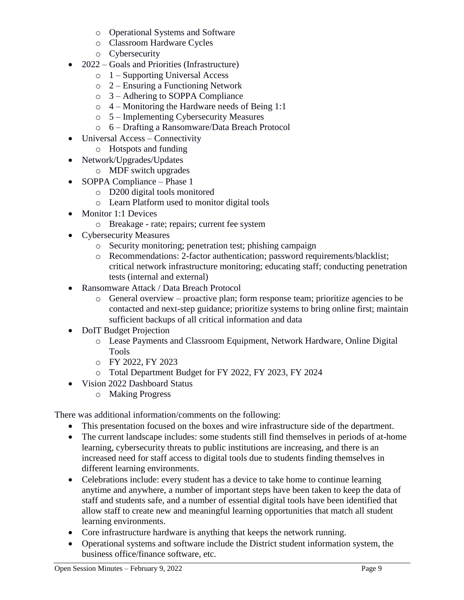- o Operational Systems and Software
- o Classroom Hardware Cycles
- o Cybersecurity
- 2022 Goals and Priorities (Infrastructure)
	- o 1 Supporting Universal Access
	- o 2 Ensuring a Functioning Network
	- o 3 Adhering to SOPPA Compliance
	- o 4 Monitoring the Hardware needs of Being 1:1
	- o 5 Implementing Cybersecurity Measures
	- o 6 Drafting a Ransomware/Data Breach Protocol
- Universal Access Connectivity
	- o Hotspots and funding
- Network/Upgrades/Updates
	- o MDF switch upgrades
- SOPPA Compliance Phase 1
	- o D200 digital tools monitored
	- o Learn Platform used to monitor digital tools
- Monitor 1:1 Devices
	- o Breakage rate; repairs; current fee system
- Cybersecurity Measures
	- o Security monitoring; penetration test; phishing campaign
	- o Recommendations: 2-factor authentication; password requirements/blacklist; critical network infrastructure monitoring; educating staff; conducting penetration tests (internal and external)
- Ransomware Attack / Data Breach Protocol
	- $\circ$  General overview proactive plan; form response team; prioritize agencies to be contacted and next-step guidance; prioritize systems to bring online first; maintain sufficient backups of all critical information and data
- DoIT Budget Projection
	- o Lease Payments and Classroom Equipment, Network Hardware, Online Digital Tools
	- o FY 2022, FY 2023
	- o Total Department Budget for FY 2022, FY 2023, FY 2024
- Vision 2022 Dashboard Status
	- o Making Progress

There was additional information/comments on the following:

- This presentation focused on the boxes and wire infrastructure side of the department.
- The current landscape includes: some students still find themselves in periods of at-home learning, cybersecurity threats to public institutions are increasing, and there is an increased need for staff access to digital tools due to students finding themselves in different learning environments.
- Celebrations include: every student has a device to take home to continue learning anytime and anywhere, a number of important steps have been taken to keep the data of staff and students safe, and a number of essential digital tools have been identified that allow staff to create new and meaningful learning opportunities that match all student learning environments.
- Core infrastructure hardware is anything that keeps the network running.
- Operational systems and software include the District student information system, the business office/finance software, etc.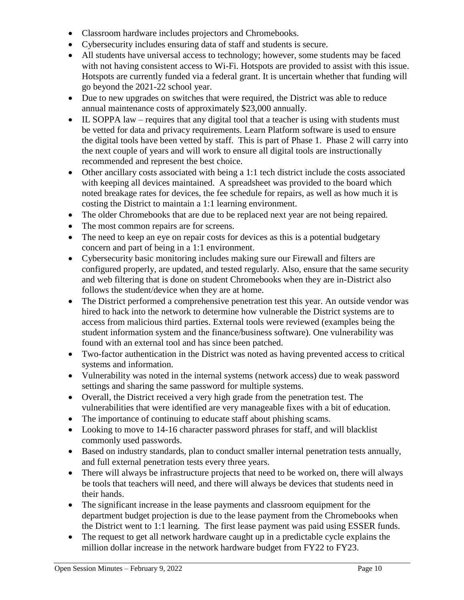- Classroom hardware includes projectors and Chromebooks.
- Cybersecurity includes ensuring data of staff and students is secure.
- All students have universal access to technology; however, some students may be faced with not having consistent access to Wi-Fi. Hotspots are provided to assist with this issue. Hotspots are currently funded via a federal grant. It is uncertain whether that funding will go beyond the 2021-22 school year.
- Due to new upgrades on switches that were required, the District was able to reduce annual maintenance costs of approximately \$23,000 annually.
- IL SOPPA law requires that any digital tool that a teacher is using with students must be vetted for data and privacy requirements. Learn Platform software is used to ensure the digital tools have been vetted by staff. This is part of Phase 1. Phase 2 will carry into the next couple of years and will work to ensure all digital tools are instructionally recommended and represent the best choice.
- Other ancillary costs associated with being a 1:1 tech district include the costs associated with keeping all devices maintained. A spreadsheet was provided to the board which noted breakage rates for devices, the fee schedule for repairs, as well as how much it is costing the District to maintain a 1:1 learning environment.
- The older Chromebooks that are due to be replaced next year are not being repaired.
- The most common repairs are for screens.
- The need to keep an eye on repair costs for devices as this is a potential budgetary concern and part of being in a 1:1 environment.
- Cybersecurity basic monitoring includes making sure our Firewall and filters are configured properly, are updated, and tested regularly. Also, ensure that the same security and web filtering that is done on student Chromebooks when they are in-District also follows the student/device when they are at home.
- The District performed a comprehensive penetration test this year. An outside vendor was hired to hack into the network to determine how vulnerable the District systems are to access from malicious third parties. External tools were reviewed (examples being the student information system and the finance/business software). One vulnerability was found with an external tool and has since been patched.
- Two-factor authentication in the District was noted as having prevented access to critical systems and information.
- Vulnerability was noted in the internal systems (network access) due to weak password settings and sharing the same password for multiple systems.
- Overall, the District received a very high grade from the penetration test. The vulnerabilities that were identified are very manageable fixes with a bit of education.
- The importance of continuing to educate staff about phishing scams.
- Looking to move to 14-16 character password phrases for staff, and will blacklist commonly used passwords.
- Based on industry standards, plan to conduct smaller internal penetration tests annually, and full external penetration tests every three years.
- There will always be infrastructure projects that need to be worked on, there will always be tools that teachers will need, and there will always be devices that students need in their hands.
- The significant increase in the lease payments and classroom equipment for the department budget projection is due to the lease payment from the Chromebooks when the District went to 1:1 learning. The first lease payment was paid using ESSER funds.
- The request to get all network hardware caught up in a predictable cycle explains the million dollar increase in the network hardware budget from FY22 to FY23.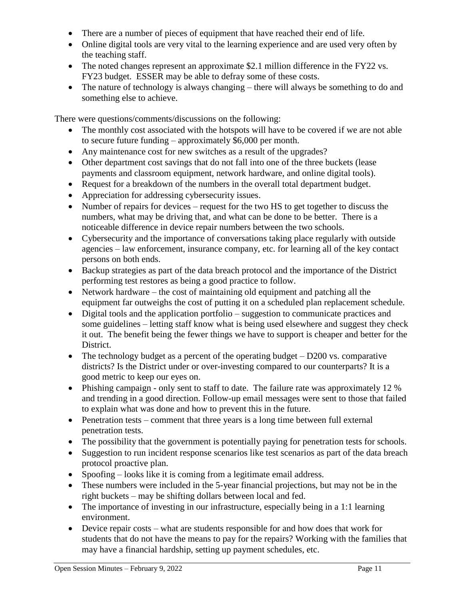- There are a number of pieces of equipment that have reached their end of life.
- Online digital tools are very vital to the learning experience and are used very often by the teaching staff.
- The noted changes represent an approximate \$2.1 million difference in the FY22 vs. FY23 budget. ESSER may be able to defray some of these costs.
- The nature of technology is always changing there will always be something to do and something else to achieve.

There were questions/comments/discussions on the following:

- The monthly cost associated with the hotspots will have to be covered if we are not able to secure future funding – approximately \$6,000 per month.
- Any maintenance cost for new switches as a result of the upgrades?
- Other department cost savings that do not fall into one of the three buckets (lease payments and classroom equipment, network hardware, and online digital tools).
- Request for a breakdown of the numbers in the overall total department budget.
- Appreciation for addressing cybersecurity issues.
- Number of repairs for devices request for the two HS to get together to discuss the numbers, what may be driving that, and what can be done to be better. There is a noticeable difference in device repair numbers between the two schools.
- Cybersecurity and the importance of conversations taking place regularly with outside agencies – law enforcement, insurance company, etc. for learning all of the key contact persons on both ends.
- Backup strategies as part of the data breach protocol and the importance of the District performing test restores as being a good practice to follow.
- Network hardware the cost of maintaining old equipment and patching all the equipment far outweighs the cost of putting it on a scheduled plan replacement schedule.
- Digital tools and the application portfolio suggestion to communicate practices and some guidelines – letting staff know what is being used elsewhere and suggest they check it out. The benefit being the fewer things we have to support is cheaper and better for the District.
- The technology budget as a percent of the operating budget  $-$  D200 vs. comparative districts? Is the District under or over-investing compared to our counterparts? It is a good metric to keep our eyes on.
- Phishing campaign only sent to staff to date. The failure rate was approximately 12 % and trending in a good direction. Follow-up email messages were sent to those that failed to explain what was done and how to prevent this in the future.
- Penetration tests comment that three years is a long time between full external penetration tests.
- The possibility that the government is potentially paying for penetration tests for schools.
- Suggestion to run incident response scenarios like test scenarios as part of the data breach protocol proactive plan.
- Spoofing looks like it is coming from a legitimate email address.
- These numbers were included in the 5-year financial projections, but may not be in the right buckets – may be shifting dollars between local and fed.
- The importance of investing in our infrastructure, especially being in a 1:1 learning environment.
- Device repair costs what are students responsible for and how does that work for students that do not have the means to pay for the repairs? Working with the families that may have a financial hardship, setting up payment schedules, etc.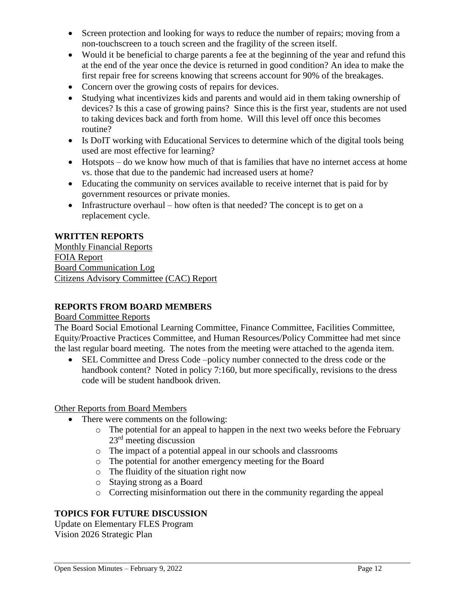- Screen protection and looking for ways to reduce the number of repairs; moving from a non-touchscreen to a touch screen and the fragility of the screen itself.
- Would it be beneficial to charge parents a fee at the beginning of the year and refund this at the end of the year once the device is returned in good condition? An idea to make the first repair free for screens knowing that screens account for 90% of the breakages.
- Concern over the growing costs of repairs for devices.
- Studying what incentivizes kids and parents and would aid in them taking ownership of devices? Is this a case of growing pains? Since this is the first year, students are not used to taking devices back and forth from home. Will this level off once this becomes routine?
- Is DoIT working with Educational Services to determine which of the digital tools being used are most effective for learning?
- Hotspots do we know how much of that is families that have no internet access at home vs. those that due to the pandemic had increased users at home?
- Educating the community on services available to receive internet that is paid for by government resources or private monies.
- Infrastructure overhaul how often is that needed? The concept is to get on a replacement cycle.

### **WRITTEN REPORTS**

Monthly Financial Reports FOIA Report Board Communication Log Citizens Advisory Committee (CAC) Report

#### **REPORTS FROM BOARD MEMBERS**

#### Board Committee Reports

The Board Social Emotional Learning Committee, Finance Committee, Facilities Committee, Equity/Proactive Practices Committee, and Human Resources/Policy Committee had met since the last regular board meeting. The notes from the meeting were attached to the agenda item.

• SEL Committee and Dress Code –policy number connected to the dress code or the handbook content? Noted in policy 7:160, but more specifically, revisions to the dress code will be student handbook driven.

#### Other Reports from Board Members

- There were comments on the following:
	- o The potential for an appeal to happen in the next two weeks before the February 23rd meeting discussion
	- o The impact of a potential appeal in our schools and classrooms
	- o The potential for another emergency meeting for the Board
	- o The fluidity of the situation right now
	- o Staying strong as a Board
	- o Correcting misinformation out there in the community regarding the appeal

# **TOPICS FOR FUTURE DISCUSSION**

Update on Elementary FLES Program Vision 2026 Strategic Plan